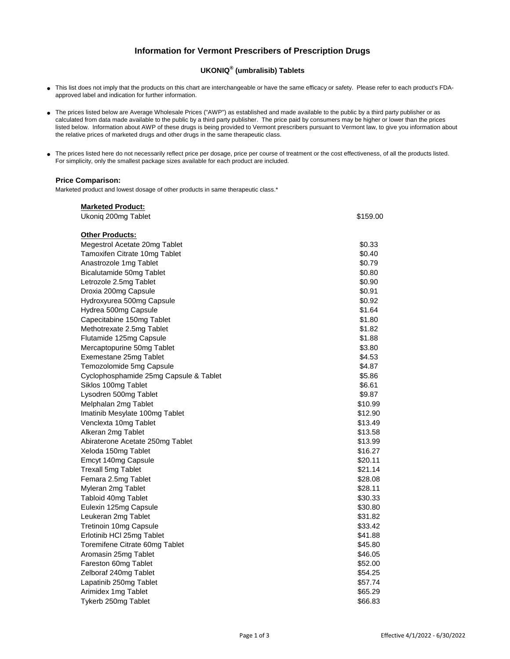## **Information for Vermont Prescribers of Prescription Drugs**

## **UKONIQ® (umbralisib) Tablets**

- This list does not imply that the products on this chart are interchangeable or have the same efficacy or safety. Please refer to each product's FDAapproved label and indication for further information.
- The prices listed below are Average Wholesale Prices ("AWP") as established and made available to the public by a third party publisher or as calculated from data made available to the public by a third party publisher. The price paid by consumers may be higher or lower than the prices listed below. Information about AWP of these drugs is being provided to Vermont prescribers pursuant to Vermont law, to give you information about the relative prices of marketed drugs and other drugs in the same therapeutic class.
- The prices listed here do not necessarily reflect price per dosage, price per course of treatment or the cost effectiveness, of all the products listed. For simplicity, only the smallest package sizes available for each product are included.

## **Price Comparison:**

Marketed product and lowest dosage of other products in same therapeutic class.<sup>\*</sup>

| <b>Marketed Product:</b>               |          |
|----------------------------------------|----------|
| Ukoniq 200mg Tablet                    | \$159.00 |
|                                        |          |
| <b>Other Products:</b>                 |          |
| Megestrol Acetate 20mg Tablet          | \$0.33   |
| Tamoxifen Citrate 10mg Tablet          | \$0.40   |
| Anastrozole 1mg Tablet                 | \$0.79   |
| Bicalutamide 50mg Tablet               | \$0.80   |
| Letrozole 2.5mg Tablet                 | \$0.90   |
| Droxia 200mg Capsule                   | \$0.91   |
| Hydroxyurea 500mg Capsule              | \$0.92   |
| Hydrea 500mg Capsule                   | \$1.64   |
| Capecitabine 150mg Tablet              | \$1.80   |
| Methotrexate 2.5mg Tablet              | \$1.82   |
| Flutamide 125mg Capsule                | \$1.88   |
| Mercaptopurine 50mg Tablet             | \$3.80   |
| Exemestane 25mg Tablet                 | \$4.53   |
| Temozolomide 5mg Capsule               | \$4.87   |
| Cyclophosphamide 25mg Capsule & Tablet | \$5.86   |
| Siklos 100mg Tablet                    | \$6.61   |
| Lysodren 500mg Tablet                  | \$9.87   |
| Melphalan 2mg Tablet                   | \$10.99  |
| Imatinib Mesylate 100mg Tablet         | \$12.90  |
| Venclexta 10mg Tablet                  | \$13.49  |
| Alkeran 2mg Tablet                     | \$13.58  |
| Abiraterone Acetate 250mg Tablet       | \$13.99  |
| Xeloda 150mg Tablet                    | \$16.27  |
| Emcyt 140mg Capsule                    | \$20.11  |
| <b>Trexall 5mg Tablet</b>              | \$21.14  |
| Femara 2.5mg Tablet                    | \$28.08  |
| Myleran 2mg Tablet                     | \$28.11  |
| Tabloid 40mg Tablet                    | \$30.33  |
| Eulexin 125mg Capsule                  | \$30.80  |
| Leukeran 2mg Tablet                    | \$31.82  |
| <b>Tretinoin 10mg Capsule</b>          | \$33.42  |
| Erlotinib HCI 25mg Tablet              | \$41.88  |
| Toremifene Citrate 60mg Tablet         | \$45.80  |
| Aromasin 25mg Tablet                   | \$46.05  |
| Fareston 60mg Tablet                   | \$52.00  |
| Zelboraf 240mg Tablet                  | \$54.25  |
| Lapatinib 250mg Tablet                 | \$57.74  |
| Arimidex 1mg Tablet                    | \$65.29  |
| Tykerb 250mg Tablet                    | \$66.83  |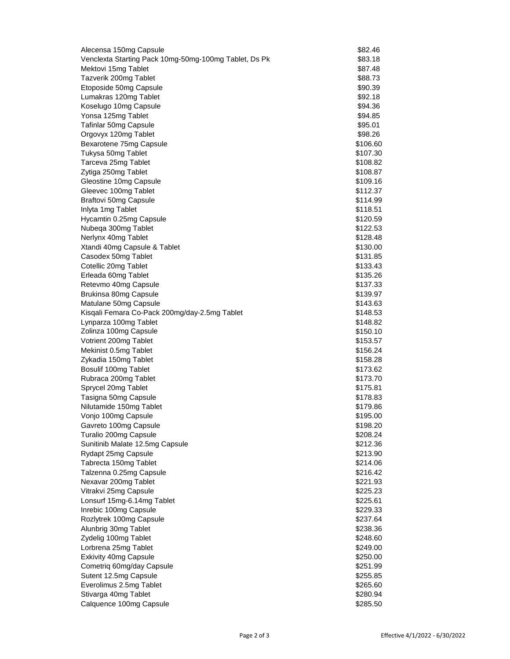| Alecensa 150mg Capsule                                | \$82.46  |
|-------------------------------------------------------|----------|
| Venclexta Starting Pack 10mg-50mg-100mg Tablet, Ds Pk | \$83.18  |
| Mektovi 15mg Tablet                                   | \$87.48  |
| Tazverik 200mg Tablet                                 | \$88.73  |
| Etoposide 50mg Capsule                                | \$90.39  |
| Lumakras 120mg Tablet                                 | \$92.18  |
| Koselugo 10mg Capsule                                 | \$94.36  |
| Yonsa 125mg Tablet                                    | \$94.85  |
| Tafinlar 50mg Capsule                                 | \$95.01  |
| Orgovyx 120mg Tablet                                  | \$98.26  |
| Bexarotene 75mg Capsule                               | \$106.60 |
| Tukysa 50mg Tablet                                    | \$107.30 |
| Tarceva 25mg Tablet                                   | \$108.82 |
| Zytiga 250mg Tablet                                   | \$108.87 |
| Gleostine 10mg Capsule                                | \$109.16 |
| Gleevec 100mg Tablet                                  | \$112.37 |
| Braftovi 50mg Capsule                                 | \$114.99 |
| Inlyta 1mg Tablet                                     | \$118.51 |
| Hycamtin 0.25mg Capsule                               | \$120.59 |
| Nubeqa 300mg Tablet                                   | \$122.53 |
| Nerlynx 40mg Tablet                                   | \$128.48 |
| Xtandi 40mg Capsule & Tablet                          | \$130.00 |
| Casodex 50mg Tablet                                   | \$131.85 |
| Cotellic 20mg Tablet                                  | \$133.43 |
| Erleada 60mg Tablet                                   | \$135.26 |
| Retevmo 40mg Capsule                                  | \$137.33 |
| Brukinsa 80mg Capsule                                 | \$139.97 |
| Matulane 50mg Capsule                                 | \$143.63 |
| Kisqali Femara Co-Pack 200mg/day-2.5mg Tablet         | \$148.53 |
| Lynparza 100mg Tablet                                 | \$148.82 |
| Zolinza 100mg Capsule                                 | \$150.10 |
| Votrient 200mg Tablet                                 | \$153.57 |
| Mekinist 0.5mg Tablet                                 | \$156.24 |
| Zykadia 150mg Tablet                                  | \$158.28 |
| Bosulif 100mg Tablet                                  | \$173.62 |
| Rubraca 200mg Tablet                                  | \$173.70 |
| Sprycel 20mg Tablet                                   | \$175.81 |
| Tasigna 50mg Capsule                                  | \$178.83 |
| Nilutamide 150mg Tablet                               | \$179.86 |
| Vonjo 100mg Capsule                                   | \$195.00 |
| Gavreto 100mg Capsule                                 | \$198.20 |
| Turalio 200mg Capsule                                 | \$208.24 |
| Sunitinib Malate 12.5mg Capsule                       | \$212.36 |
| Rydapt 25mg Capsule                                   | \$213.90 |
| Tabrecta 150mg Tablet                                 | \$214.06 |
| Talzenna 0.25mg Capsule                               | \$216.42 |
| Nexavar 200mg Tablet                                  | \$221.93 |
| Vitrakvi 25mg Capsule                                 | \$225.23 |
| Lonsurf 15mg-6.14mg Tablet                            | \$225.61 |
| Inrebic 100mg Capsule                                 | \$229.33 |
| Rozlytrek 100mg Capsule                               | \$237.64 |
| Alunbrig 30mg Tablet                                  | \$238.36 |
| Zydelig 100mg Tablet                                  | \$248.60 |
| Lorbrena 25mg Tablet                                  | \$249.00 |
| <b>Exkivity 40mg Capsule</b>                          | \$250.00 |
| Cometriq 60mg/day Capsule                             | \$251.99 |
| Sutent 12.5mg Capsule                                 | \$255.85 |
| Everolimus 2.5mg Tablet                               | \$265.60 |
| Stivarga 40mg Tablet                                  | \$280.94 |
| Calquence 100mg Capsule                               | \$285.50 |